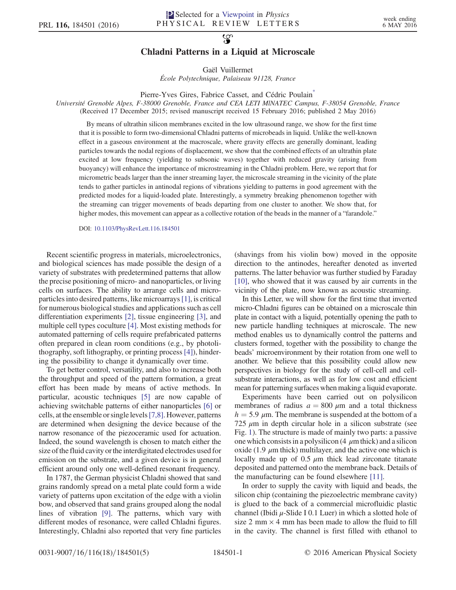## $\mathbf{S}$ Chladni Patterns in a Liquid at Microscale

Gaël Vuillermet École Polytechnique, Palaiseau 91128, France

Pierre-Yves Gires, Fabrice Casset, and Cédric Poulain[\\*](#page-3-0)

<span id="page-0-0"></span>Université Grenoble Alpes, F-38000 Grenoble, France and CEA LETI MlNATEC Campus, F-38054 Grenoble, France (Received 17 December 2015; revised manuscript received 15 February 2016; published 2 May 2016)

By means of ultrathin silicon membranes excited in the low ultrasound range, we show for the first time that it is possible to form two-dimensional Chladni patterns of microbeads in liquid. Unlike the well-known effect in a gaseous environment at the macroscale, where gravity effects are generally dominant, leading particles towards the nodal regions of displacement, we show that the combined effects of an ultrathin plate excited at low frequency (yielding to subsonic waves) together with reduced gravity (arising from buoyancy) will enhance the importance of microstreaming in the Chladni problem. Here, we report that for micrometric beads larger than the inner streaming layer, the microscale streaming in the vicinity of the plate tends to gather particles in antinodal regions of vibrations yielding to patterns in good agreement with the predicted modes for a liquid-loaded plate. Interestingly, a symmetry breaking phenomenon together with the streaming can trigger movements of beads departing from one cluster to another. We show that, for higher modes, this movement can appear as a collective rotation of the beads in the manner of a "farandole."

DOI: [10.1103/PhysRevLett.116.184501](http://dx.doi.org/10.1103/PhysRevLett.116.184501)

Recent scientific progress in materials, microelectronics, and biological sciences has made possible the design of a variety of substrates with predetermined patterns that allow the precise positioning of micro- and nanoparticles, or living cells on surfaces. The ability to arrange cells and microparticles into desired patterns, like microarrays[\[1\],](#page-3-1) is critical for numerous biological studies and applications such as cell differentiation experiments [\[2\],](#page-3-2) tissue engineering [\[3\]](#page-3-3), and multiple cell types coculture [\[4\]](#page-4-0). Most existing methods for automated patterning of cells require prefabricated patterns often prepared in clean room conditions (e.g., by photolithography, soft lithography, or printing process [\[4\]](#page-4-0)), hindering the possibility to change it dynamically over time.

To get better control, versatility, and also to increase both the throughput and speed of the pattern formation, a great effort has been made by means of active methods. In particular, acoustic techniques [\[5\]](#page-4-1) are now capable of achieving switchable patterns of either nanoparticles [\[6\]](#page-4-2) or cells, at the ensemble or single levels[\[7,8\]](#page-4-3). However, patterns are determined when designing the device because of the narrow resonance of the piezoceramic used for actuation. Indeed, the sound wavelength is chosen to match either the size of the fluid cavity or the interdigitated electrodes used for emission on the substrate, and a given device is in general efficient around only one well-defined resonant frequency.

In 1787, the German physicist Chladni showed that sand grains randomly spread on a metal plate could form a wide variety of patterns upon excitation of the edge with a violin bow, and observed that sand grains grouped along the nodal lines of vibration [\[9\].](#page-4-4) The patterns, which vary with different modes of resonance, were called Chladni figures. Interestingly, Chladni also reported that very fine particles (shavings from his violin bow) moved in the opposite direction to the antinodes, hereafter denoted as inverted patterns. The latter behavior was further studied by Faraday [\[10\]](#page-4-5), who showed that it was caused by air currents in the vicinity of the plate, now known as acoustic streaming.

In this Letter, we will show for the first time that inverted micro-Chladni figures can be obtained on a microscale thin plate in contact with a liquid, potentially opening the path to new particle handling techniques at microscale. The new method enables us to dynamically control the patterns and clusters formed, together with the possibility to change the beads' microenvironment by their rotation from one well to another. We believe that this possibility could allow new perspectives in biology for the study of cell-cell and cellsubstrate interactions, as well as for low cost and efficient mean for patterning surfaces when making a liquid evaporate.

Experiments have been carried out on polysilicon membranes of radius  $a = 800 \mu m$  and a total thickness  $h = 5.9 \mu$ m. The membrane is suspended at the bottom of a 725  $\mu$ m in depth circular hole in a silicon substrate (see Fig. [1](#page-1-0)). The structure is made of mainly two parts: a passive one which consists in a polysilicon  $(4 \mu m)$  thick) and a silicon oxide (1.9  $\mu$ m thick) multilayer, and the active one which is locally made up of  $0.5 \mu m$  thick lead zirconate titanate deposited and patterned onto the membrane back. Details of the manufacturing can be found elsewhere [\[11\].](#page-4-6)

In order to supply the cavity with liquid and beads, the silicon chip (containing the piezoelectric membrane cavity) is glued to the back of a commercial microfluidic plastic channel (Ibidi  $\mu$ -Slide I 0.1 Luer) in which a slotted hole of size 2 mm  $\times$  4 mm has been made to allow the fluid to fill in the cavity. The channel is first filled with ethanol to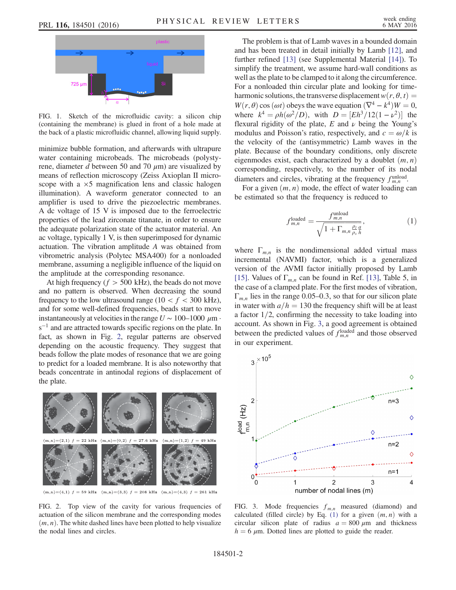<span id="page-1-0"></span>

FIG. 1. Sketch of the microfluidic cavity: a silicon chip (containing the membrane) is glued in front of a hole made at the back of a plastic microfluidic channel, allowing liquid supply.

minimize bubble formation, and afterwards with ultrapure water containing microbeads. The microbeads (polystyrene, diameter d between 50 and 70  $\mu$ m) are visualized by means of reflection microscopy (Zeiss Axioplan II microscope with a  $\times$ 5 magnification lens and classic halogen illumination). A waveform generator connected to an amplifier is used to drive the piezoelectric membranes. A dc voltage of 15 V is imposed due to the ferroelectric properties of the lead zirconate titanate, in order to ensure the adequate polarization state of the actuator material. An ac voltage, typically 1 V, is then superimposed for dynamic actuation. The vibration amplitude A was obtained from vibrometric analysis (Polytec MSA400) for a nonloaded membrane, assuming a negligible influence of the liquid on the amplitude at the corresponding resonance.

At high frequency ( $f > 500$  kHz), the beads do not move and no pattern is observed. When decreasing the sound frequency to the low ultrasound range ( $10 < f < 300$  kHz), and for some well-defined frequencies, beads start to move instantaneously at velocities in the range  $U \sim 100-1000 \ \mu m$ . s<sup>-1</sup> and are attracted towards specific regions on the plate. In fact, as shown in Fig. [2](#page-1-1), regular patterns are observed depending on the acoustic frequency. They suggest that beads follow the plate modes of resonance that we are going to predict for a loaded membrane. It is also noteworthy that beads concentrate in antinodal regions of displacement of the plate.

<span id="page-1-1"></span>

 $(m,n)=(4,1)$   $f = 59$  kHz  $(m,n)=(3,3)$   $f = 208$  kHz  $(m,n)=(4,3)$   $f = 261$  kHz

FIG. 2. Top view of the cavity for various frequencies of actuation of the silicon membrane and the corresponding modes  $(m, n)$ . The white dashed lines have been plotted to help visualize the nodal lines and circles.

The problem is that of Lamb waves in a bounded domain and has been treated in detail initially by Lamb [\[12\],](#page-4-7) and further refined [\[13\]](#page-4-8) (see Supplemental Material [\[14\]](#page-4-9)). To simplify the treatment, we assume hard-wall conditions as well as the plate to be clamped to it along the circumference. For a nonloaded thin circular plate and looking for timeharmonic solutions, the transverse displacement  $w(r, \theta, t) =$  $W(r, \theta)$  cos ( $\omega t$ ) obeys the wave equation  $(\nabla^4 - k^4)W = 0$ , where  $k^4 = \rho h(\omega^2/D)$ , with  $D = [Eh^3/12(1 - \nu^2)]$  the flexural rigidity of the plate, E and  $\nu$  being the Young's modulus and Poisson's ratio, respectively, and  $c = \omega/k$  is the velocity of the (antisymmetric) Lamb waves in the plate. Because of the boundary conditions, only discrete eigenmodes exist, each characterized by a doublet  $(m, n)$ corresponding, respectively, to the number of its nodal diameters and circles, vibrating at the frequency  $f_{m,n}^{\text{unload}}$ .

<span id="page-1-3"></span>For a given  $(m, n)$  mode, the effect of water loading can be estimated so that the frequency is reduced to

$$
f_{m,n}^{\text{loaded}} = \frac{f_{m,n}^{\text{unload}}}{\sqrt{1 + \Gamma_{m,n} \frac{\rho_l}{\rho_s} \frac{a}{h}}},\tag{1}
$$

where  $\Gamma_{m,n}$  is the nondimensional added virtual mass incremental (NAVMI) factor, which is a generalized version of the AVMI factor initially proposed by Lamb [\[15\]](#page-4-10). Values of  $\Gamma_{m,n}$  can be found in Ref. [\[13\]](#page-4-8), Table 5, in the case of a clamped plate. For the first modes of vibration,  $\Gamma_{m,n}$  lies in the range 0.05–0.3, so that for our silicon plate in water with  $a/h = 130$  the frequency shift will be at least a factor  $1/2$ , confirming the necessity to take loading into account. As shown in Fig. [3](#page-1-2), a good agreement is obtained between the predicted values of  $f_{m,n}^{\text{loaded}}$  and those observed in our experiment.

<span id="page-1-2"></span>

FIG. 3. Mode frequencies  $f_{m,n}$  measured (diamond) and calculated (filled circle) by Eq. [\(1\)](#page-1-3) for a given  $(m, n)$  with a circular silicon plate of radius  $a = 800 \mu m$  and thickness  $h = 6 \mu$ m. Dotted lines are plotted to guide the reader.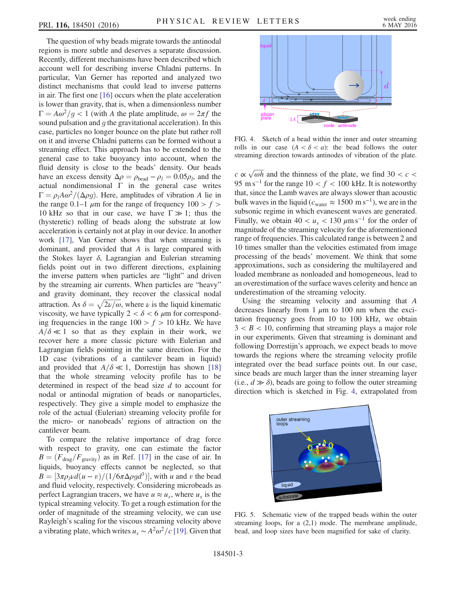The question of why beads migrate towards the antinodal regions is more subtle and deserves a separate discussion. Recently, different mechanisms have been described which account well for describing inverse Chladni patterns. In particular, Van Gerner has reported and analyzed two distinct mechanisms that could lead to inverse patterns in air. The first one [\[16\]](#page-4-11) occurs when the plate acceleration is lower than gravity, that is, when a dimensionless number  $\Gamma = A\omega^2/g < 1$  (with A the plate amplitude,  $\omega = 2\pi f$  the sound pulsation and  $g$  the gravitational acceleration). In this case, particles no longer bounce on the plate but rather roll on it and inverse Chladni patterns can be formed without a streaming effect. This approach has to be extended to the general case to take buoyancy into account, when the fluid density is close to the beads' density. Our beads have an excess density  $\Delta \rho = \rho_{\text{bead}} - \rho_l = 0.05 \rho_l$ , and the actual nondimensional  $\Gamma$  in the general case writes  $\Gamma = \rho_l A \omega^2 / (\Delta \rho g)$ . Here, amplitudes of vibration A lie in the range 0.1–1  $\mu$ m for the range of frequency 100 > f > 10 kHz so that in our case, we have  $\Gamma \gg 1$ ; thus the (hysteretic) rolling of beads along the substrate at low acceleration is certainly not at play in our device. In another work [\[17\],](#page-4-12) Van Gerner shows that when streaming is dominant, and provided that A is large compared with the Stokes layer  $\delta$ , Lagrangian and Eulerian streaming fields point out in two different directions, explaining the inverse pattern when particles are "light" and driven by the streaming air currents. When particles are "heavy" and gravity dominant, they recover the classical nodal attraction. As  $\delta = \sqrt{2\nu/\omega}$ , where  $\nu$  is the liquid kinematic viscosity, we have typically  $2 < \delta < 6$   $\mu$ m for corresponding frequencies in the range  $100 > f > 10$  kHz. We have  $A/\delta \ll 1$  so that as they explain in their work, we recover here a more classic picture with Eulerian and Lagrangian fields pointing in the same direction. For the 1D case (vibrations of a cantilever beam in liquid) and provided that  $A/\delta \ll 1$ , Dorrestijn has shown [\[18\]](#page-4-13) that the whole streaming velocity profile has to be determined in respect of the bead size d to account for nodal or antinodal migration of beads or nanoparticles, respectively. They give a simple model to emphasize the role of the actual (Eulerian) streaming velocity profile for the micro- or nanobeads' regions of attraction on the cantilever beam.

To compare the relative importance of drag force with respect to gravity, one can estimate the factor  $B=(F_{\text{drag}}/F_{\text{gravity}})$  as in Ref. [\[17\]](#page-4-12) in the case of air. In liquids, buoyancy effects cannot be neglected, so that  $B = \left[\frac{3\pi\rho_l\nu d(u-v)}{(1/6\pi\Delta\rho g d^3)}\right]$ , with u and v the bead and fluid velocity, respectively. Considering microbeads as perfect Lagrangian tracers, we have  $u \approx u_s$ , where  $u_s$  is the typical streaming velocity. To get a rough estimation for the order of magnitude of the streaming velocity, we can use Rayleigh's scaling for the viscous streaming velocity above a vibrating plate, which writes  $u_s \sim A^2 \omega^2/c$  [\[19\]](#page-4-14). Given that

<span id="page-2-0"></span>

FIG. 4. Sketch of a bead within the inner and outer streaming rolls in our case  $(A < \delta < a)$ : the bead follows the outer streaming direction towards antinodes of vibration of the plate.

 $c \propto \sqrt{\omega h}$  and the thinness of the plate, we find 30 < c < 95 m s<sup>-1</sup> for the range  $10 < f < 100$  kHz. It is noteworthy that, since the Lamb waves are always slower than acoustic bulk waves in the liquid ( $c_{\text{water}} \approx 1500 \text{ m s}^{-1}$ ), we are in the subsonic regime in which evanescent waves are generated. Finally, we obtain  $40 < u_s < 130 \ \mu m s^{-1}$  for the order of magnitude of the streaming velocity for the aforementioned range of frequencies. This calculated range is between 2 and 10 times smaller than the velocities estimated from image processing of the beads' movement. We think that some approximations, such as considering the multilayered and loaded membrane as nonloaded and homogeneous, lead to an overestimation of the surface waves celerity and hence an underestimation of the streaming velocity.

Using the streaming velocity and assuming that A decreases linearly from 1  $\mu$ m to 100 nm when the excitation frequency goes from 10 to 100 kHz, we obtain  $3 < B < 10$ , confirming that streaming plays a major role in our experiments. Given that streaming is dominant and following Dorrestijn's approach, we expect beads to move towards the regions where the streaming velocity profile integrated over the bead surface points out. In our case, since beads are much larger than the inner streaming layer (i.e.,  $d \gg \delta$ ), beads are going to follow the outer streaming direction which is sketched in Fig. [4](#page-2-0), extrapolated from

<span id="page-2-1"></span>

FIG. 5. Schematic view of the trapped beads within the outer streaming loops, for a (2,1) mode. The membrane amplitude, bead, and loop sizes have been magnified for sake of clarity.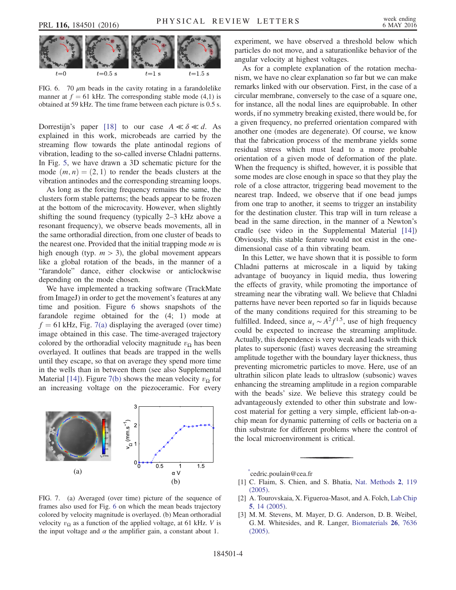<span id="page-3-4"></span>

FIG. 6. 70  $\mu$ m beads in the cavity rotating in a farandolelike manner at  $f = 61$  kHz. The corresponding stable mode (4,1) is obtained at 59 kHz. The time frame between each picture is 0.5 s.

Dorrestijn's paper [\[18\]](#page-4-13) to our case  $A \ll \delta \ll d$ . As explained in this work, microbeads are carried by the streaming flow towards the plate antinodal regions of vibration, leading to the so-called inverse Chladni patterns. In Fig. [5](#page-2-1), we have drawn a 3D schematic picture for the mode  $(m, n) = (2, 1)$  to render the beads clusters at the vibration antinodes and the corresponding streaming loops.

As long as the forcing frequency remains the same, the clusters form stable patterns; the beads appear to be frozen at the bottom of the microcavity. However, when slightly shifting the sound frequency (typically 2–3 kHz above a resonant frequency), we observe beads movements, all in the same orthoradial direction, from one cluster of beads to the nearest one. Provided that the initial trapping mode  $m$  is high enough (typ.  $m > 3$ ), the global movement appears like a global rotation of the beads, in the manner of a "farandole" dance, either clockwise or anticlockwise depending on the mode chosen.

We have implemented a tracking software (TrackMate from ImageJ) in order to get the movement's features at any time and position. Figure [6](#page-3-4) shows snapshots of the farandole regime obtained for the (4; 1) mode at  $f = 61$  kHz, Fig. [7\(a\)](#page-3-5) displaying the averaged (over time) image obtained in this case. The time-averaged trajectory colored by the orthoradial velocity magnitude  $v_{\Omega}$  has been overlayed. It outlines that beads are trapped in the wells until they escape, so that on average they spend more time in the wells than in between them (see also Supplemental Material [\[14\]\)](#page-4-9). Figure [7\(b\)](#page-3-5) shows the mean velocity  $v_{\Omega}$  for an increasing voltage on the piezoceramic. For every

<span id="page-3-5"></span>

FIG. 7. (a) Averaged (over time) picture of the sequence of frames also used for Fig. [6](#page-3-4) on which the mean beads trajectory colored by velocity magnitude is overlayed. (b) Mean orthoradial velocity  $v_{\Omega}$  as a function of the applied voltage, at 61 kHz. V is the input voltage and  $\alpha$  the amplifier gain, a constant about 1.

experiment, we have observed a threshold below which particles do not move, and a saturationlike behavior of the angular velocity at highest voltages.

As for a complete explanation of the rotation mechanism, we have no clear explanation so far but we can make remarks linked with our observation. First, in the case of a circular membrane, conversely to the case of a square one, for instance, all the nodal lines are equiprobable. In other words, if no symmetry breaking existed, there would be, for a given frequency, no preferred orientation compared with another one (modes are degenerate). Of course, we know that the fabrication process of the membrane yields some residual stress which must lead to a more probable orientation of a given mode of deformation of the plate. When the frequency is shifted, however, it is possible that some modes are close enough in space so that they play the role of a close attractor, triggering bead movement to the nearest trap. Indeed, we observe that if one bead jumps from one trap to another, it seems to trigger an instability for the destination cluster. This trap will in turn release a bead in the same direction, in the manner of a Newton's cradle (see video in the Supplemental Material [\[14\]\)](#page-4-9) Obviously, this stable feature would not exist in the onedimensional case of a thin vibrating beam.

In this Letter, we have shown that it is possible to form Chladni patterns at microscale in a liquid by taking advantage of buoyancy in liquid media, thus lowering the effects of gravity, while promoting the importance of streaming near the vibrating wall. We believe that Chladni patterns have never been reported so far in liquids because of the many conditions required for this streaming to be fulfilled. Indeed, since  $u_s \sim A^2 f^{1.5}$ , use of high frequency could be expected to increase the streaming amplitude. Actually, this dependence is very weak and leads with thick plates to supersonic (fast) waves decreasing the streaming amplitude together with the boundary layer thickness, thus preventing micrometric particles to move. Here, use of an ultrathin silicon plate leads to ultraslow (subsonic) waves enhancing the streaming amplitude in a region comparable with the beads' size. We believe this strategy could be advantageously extended to other thin substrate and lowcost material for getting a very simple, efficient lab-on-achip mean for dynamic patterning of cells or bacteria on a thin substrate for different problems where the control of the local microenvironment is critical.

<span id="page-3-0"></span>[\\*](#page-0-0) cedric.poulain@cea.fr

- <span id="page-3-2"></span><span id="page-3-1"></span>[1] C. Flaim, S. Chien, and S. Bhatia, [Nat. Methods](http://dx.doi.org/10.1038/nmeth736) 2, 119 [\(2005\).](http://dx.doi.org/10.1038/nmeth736)
- <span id="page-3-3"></span>[2] A. Tourovskaia, X. Figueroa-Masot, and A. Folch, [Lab Chip](http://dx.doi.org/10.1039/b405719h) 5[, 14 \(2005\)](http://dx.doi.org/10.1039/b405719h).
- [3] M. M. Stevens, M. Mayer, D. G. Anderson, D. B. Weibel, G. M. Whitesides, and R. Langer, [Biomaterials](http://dx.doi.org/10.1016/j.biomaterials.2005.05.001) 26, 7636 [\(2005\).](http://dx.doi.org/10.1016/j.biomaterials.2005.05.001)